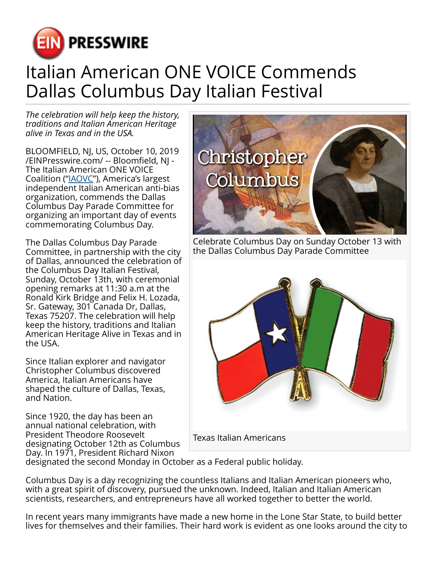

## Italian American ONE VOICE Commends Dallas Columbus Day Italian Festival

*The celebration will help keep the history, traditions and Italian American Heritage alive in Texas and in the USA.*

BLOOMFIELD, NJ, US, October 10, 2019 [/EINPresswire.com/](http://www.einpresswire.com) -- Bloomfield, NJ - The Italian American ONE VOICE Coalition (["IAOVC"](http://www.iaovc.org)), America's largest independent Italian American anti-bias organization, commends the Dallas Columbus Day Parade Committee for organizing an important day of events commemorating Columbus Day.

The Dallas Columbus Day Parade Committee, in partnership with the city of Dallas, announced the celebration of the Columbus Day Italian Festival, Sunday, October 13th, with ceremonial opening remarks at 11:30 a.m at the Ronald Kirk Bridge and Felix H. Lozada, Sr. Gateway, 301 Canada Dr, Dallas, Texas 75207. The celebration will help keep the history, traditions and Italian American Heritage Alive in Texas and in the USA.

Since Italian explorer and navigator Christopher Columbus discovered America, Italian Americans have shaped the culture of Dallas, Texas, and Nation.

Since 1920, the day has been an annual national celebration, with President Theodore Roosevelt designating October 12th as Columbus Day. In 1971, President Richard Nixon



Celebrate Columbus Day on Sunday October 13 with the Dallas Columbus Day Parade Committee



designated the second Monday in October as a Federal public holiday.

Columbus Day is a day recognizing the countless Italians and Italian American pioneers who, with a great spirit of discovery, pursued the unknown. Indeed, Italian and Italian American scientists, researchers, and entrepreneurs have all worked together to better the world.

In recent years many immigrants have made a new home in the Lone Star State, to build better lives for themselves and their families. Their hard work is evident as one looks around the city to